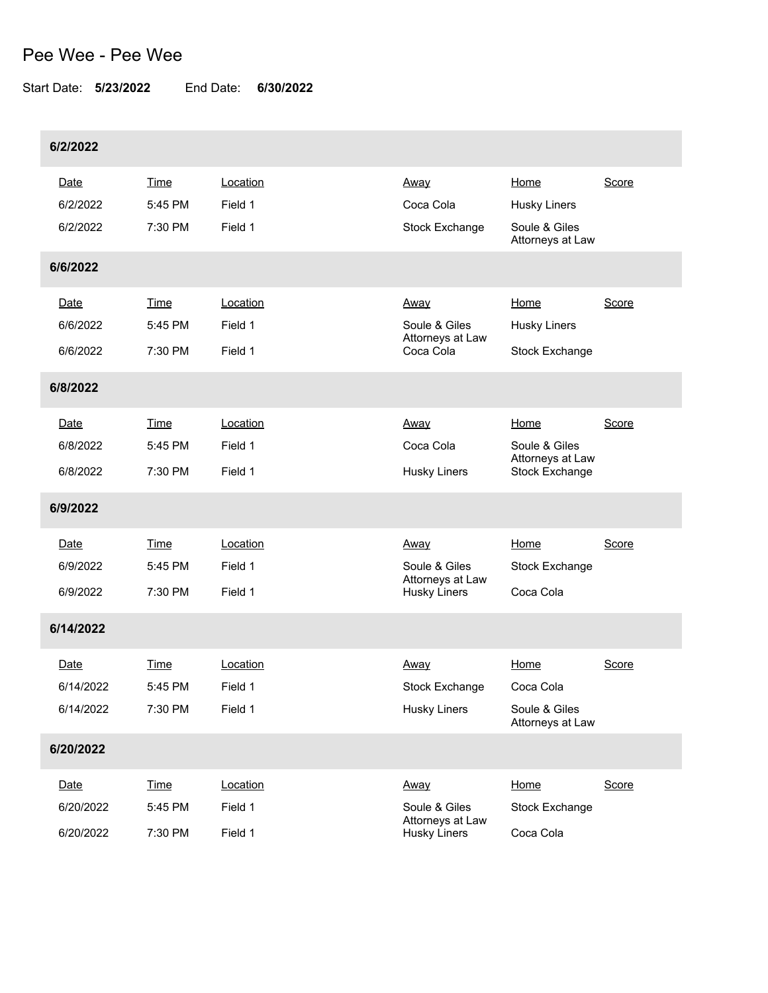## Pee Wee - Pee Wee

Start Date: **5/23/2022** End Date: **6/30/2022**

| 6/2/2022                       |                                   |                                |                                                                  |                                                             |       |
|--------------------------------|-----------------------------------|--------------------------------|------------------------------------------------------------------|-------------------------------------------------------------|-------|
| Date<br>6/2/2022<br>6/2/2022   | Time<br>5:45 PM<br>7:30 PM        | Location<br>Field 1<br>Field 1 | Away<br>Coca Cola<br><b>Stock Exchange</b>                       | Home<br>Husky Liners<br>Soule & Giles<br>Attorneys at Law   | Score |
| 6/6/2022                       |                                   |                                |                                                                  |                                                             |       |
| Date<br>6/6/2022<br>6/6/2022   | Time<br>5:45 PM<br>7:30 PM        | Location<br>Field 1<br>Field 1 | Away<br>Soule & Giles<br>Attorneys at Law<br>Coca Cola           | Home<br><b>Husky Liners</b><br>Stock Exchange               | Score |
| 6/8/2022                       |                                   |                                |                                                                  |                                                             |       |
| Date<br>6/8/2022<br>6/8/2022   | Time<br>5:45 PM<br>7:30 PM        | Location<br>Field 1<br>Field 1 | <u>Away</u><br>Coca Cola<br>Husky Liners                         | Home<br>Soule & Giles<br>Attorneys at Law<br>Stock Exchange | Score |
| 6/9/2022                       |                                   |                                |                                                                  |                                                             |       |
| Date<br>6/9/2022<br>6/9/2022   | <b>Time</b><br>5:45 PM<br>7:30 PM | Location<br>Field 1<br>Field 1 | Away<br>Soule & Giles<br>Attorneys at Law<br><b>Husky Liners</b> | Home<br><b>Stock Exchange</b><br>Coca Cola                  | Score |
| 6/14/2022                      |                                   |                                |                                                                  |                                                             |       |
| Date<br>6/14/2022<br>6/14/2022 | <b>Time</b><br>5:45 PM<br>7:30 PM | Location<br>Field 1<br>Field 1 | Away<br>Stock Exchange<br><b>Husky Liners</b>                    | Home<br>Coca Cola<br>Soule & Giles<br>Attorneys at Law      | Score |
| 6/20/2022                      |                                   |                                |                                                                  |                                                             |       |
| Date<br>6/20/2022<br>6/20/2022 | <b>Time</b><br>5:45 PM<br>7:30 PM | Location<br>Field 1<br>Field 1 | Away<br>Soule & Giles<br>Attorneys at Law<br><b>Husky Liners</b> | Home<br><b>Stock Exchange</b><br>Coca Cola                  | Score |